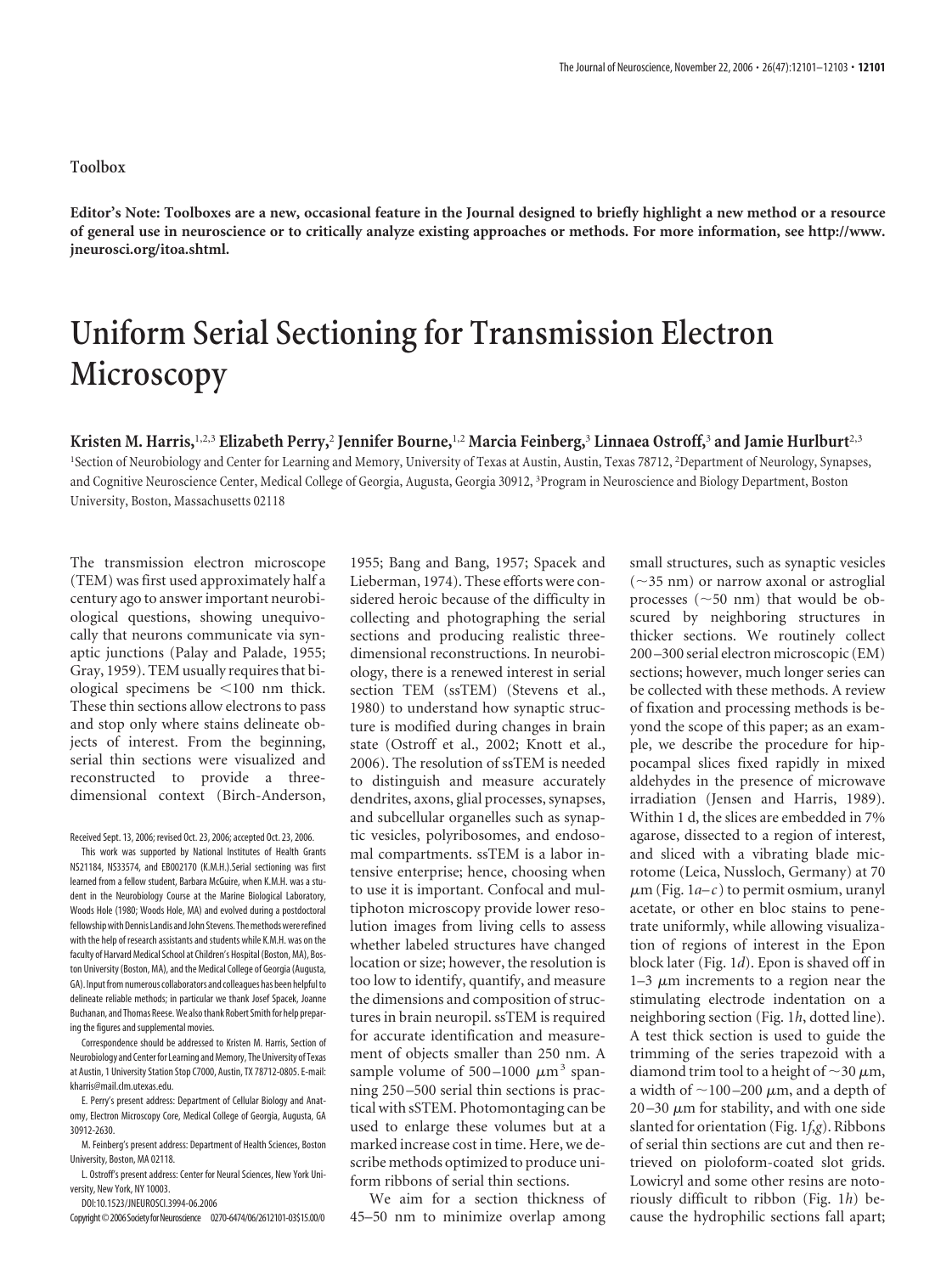## **Toolbox**

**Editor's Note: Toolboxes are a new, occasional feature in the Journal designed to briefly highlight a new method or a resource of general use in neuroscience or to critically analyze existing approaches or methods. For more information, see http://www. jneurosci.org/itoa.shtml.**

## **Uniform Serial Sectioning for Transmission Electron Microscopy**

## **Kristen M. Harris,**1,2,3 **Elizabeth Perry,**<sup>2</sup> **Jennifer Bourne,**1,2 **Marcia Feinberg,**<sup>3</sup> **Linnaea Ostroff,**<sup>3</sup> **and Jamie Hurlburt**2,3

1 Section of Neurobiology and Center for Learning and Memory, University of Texas at Austin, Austin, Texas 78712, <sup>2</sup> Department of Neurology, Synapses, and Cognitive Neuroscience Center, Medical College of Georgia, Augusta, Georgia 30912, <sup>3</sup> Program in Neuroscience and Biology Department, Boston University, Boston, Massachusetts 02118

The transmission electron microscope (TEM) was first used approximately half a century ago to answer important neurobiological questions, showing unequivocally that neurons communicate via synaptic junctions (Palay and Palade, 1955; Gray, 1959). TEM usually requires that biological specimens be  $\leq 100$  nm thick. These thin sections allow electrons to pass and stop only where stains delineate objects of interest. From the beginning, serial thin sections were visualized and reconstructed to provide a threedimensional context (Birch-Anderson,

Received Sept. 13, 2006; revised Oct. 23, 2006; accepted Oct. 23, 2006.

This work was supported by National Institutes of Health Grants NS21184, NS33574, and EB002170 (K.M.H.).Serial sectioning was first learned from a fellow student, Barbara McGuire, when K.M.H. was a student in the Neurobiology Course at the Marine Biological Laboratory, Woods Hole (1980; Woods Hole, MA) and evolved during a postdoctoral fellowship with Dennis Landis and John Stevens. The methods were refined with the help of research assistants and students while K.M.H. was on the faculty of Harvard Medical School at Children's Hospital (Boston, MA), Boston University (Boston, MA), and the Medical College of Georgia (Augusta, GA). Input from numerous collaborators and colleagues has been helpfulto delineate reliable methods; in particular we thank Josef Spacek, Joanne Buchanan, and Thomas Reese.We alsothank Robert Smith for help preparing the figures and supplemental movies.

Correspondence should be addressed to Kristen M. Harris, Section of Neurobiology and Center for Learning and Memory, The University of Texas at Austin, 1 University Station Stop C7000, Austin, TX 78712-0805. E-mail: kharris@mail.clm.utexas.edu.

E. Perry's present address: Department of Cellular Biology and Anatomy, Electron Microscopy Core, Medical College of Georgia, Augusta, GA 30912-2630.

M. Feinberg's present address: Department of Health Sciences, Boston University, Boston, MA 02118.

L. Ostroff's present address: Center for Neural Sciences, New York University, New York, NY 10003.

DOI:10.1523/JNEUROSCI.3994-06.2006

Copyright©2006SocietyforNeuroscience 0270-6474/06/2612101-03\$15.00/0

1955; Bang and Bang, 1957; Spacek and Lieberman, 1974). These efforts were considered heroic because of the difficulty in collecting and photographing the serial sections and producing realistic threedimensional reconstructions. In neurobiology, there is a renewed interest in serial section TEM (ssTEM) (Stevens et al., 1980) to understand how synaptic structure is modified during changes in brain state (Ostroff et al., 2002; Knott et al., 2006). The resolution of ssTEM is needed to distinguish and measure accurately dendrites, axons, glial processes, synapses, and subcellular organelles such as synaptic vesicles, polyribosomes, and endosomal compartments. ssTEM is a labor intensive enterprise; hence, choosing when to use it is important. Confocal and multiphoton microscopy provide lower resolution images from living cells to assess whether labeled structures have changed location or size; however, the resolution is too low to identify, quantify, and measure the dimensions and composition of structures in brain neuropil. ssTEM is required for accurate identification and measurement of objects smaller than 250 nm. A sample volume of  $500-1000 \mu m^3$  spanning 250 –500 serial thin sections is practical with sSTEM. Photomontaging can be used to enlarge these volumes but at a marked increase cost in time. Here, we describe methods optimized to produce uniform ribbons of serial thin sections.

We aim for a section thickness of 45–50 nm to minimize overlap among

small structures, such as synaptic vesicles  $(\sim$ 35 nm) or narrow axonal or astroglial processes  $(\sim 50$  nm) that would be obscured by neighboring structures in thicker sections. We routinely collect 200 –300 serial electron microscopic (EM) sections; however, much longer series can be collected with these methods. A review of fixation and processing methods is beyond the scope of this paper; as an example, we describe the procedure for hippocampal slices fixed rapidly in mixed aldehydes in the presence of microwave irradiation (Jensen and Harris, 1989). Within 1 d, the slices are embedded in 7% agarose, dissected to a region of interest, and sliced with a vibrating blade microtome (Leica, Nussloch, Germany) at 70  $\mu$ m (Fig. 1*a–c*) to permit osmium, uranyl acetate, or other en bloc stains to penetrate uniformly, while allowing visualization of regions of interest in the Epon block later (Fig. 1*d*). Epon is shaved off in  $1-3 \mu m$  increments to a region near the stimulating electrode indentation on a neighboring section (Fig. 1*h*, dotted line). A test thick section is used to guide the trimming of the series trapezoid with a diamond trim tool to a height of  $\sim$ 30  $\mu$ m, a width of  ${\sim}$ 100–200  ${\rm \mu m},$  and a depth of  $20 - 30 \mu m$  for stability, and with one side slanted for orientation (Fig. 1*f*,*g*). Ribbons of serial thin sections are cut and then retrieved on pioloform-coated slot grids. Lowicryl and some other resins are notoriously difficult to ribbon (Fig. 1*h*) be-

cause the hydrophilic sections fall apart;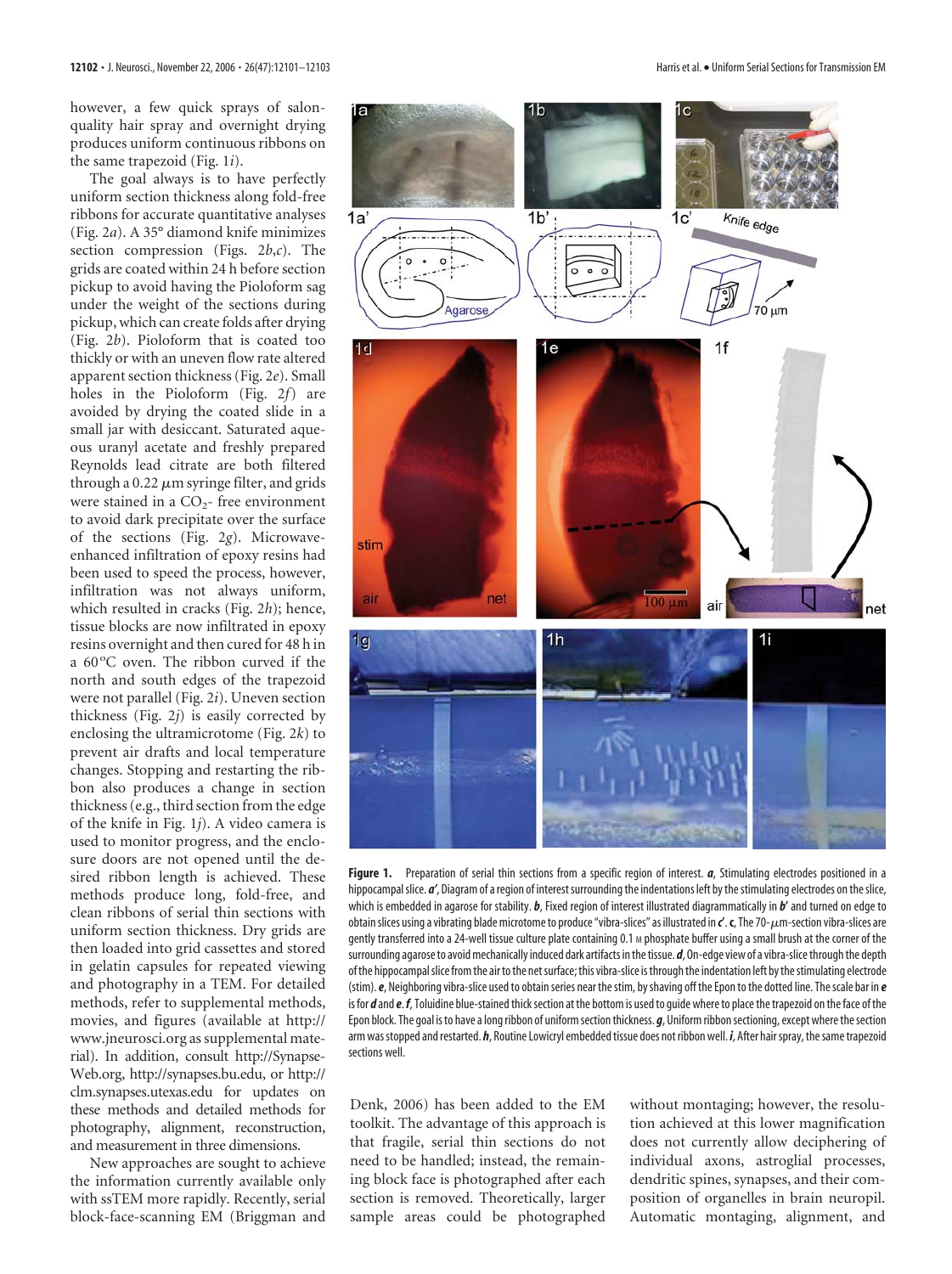however, a few quick sprays of salonquality hair spray and overnight drying produces uniform continuous ribbons on the same trapezoid (Fig. 1*i*).

The goal always is to have perfectly uniform section thickness along fold-free ribbons for accurate quantitative analyses (Fig. 2*a*). A 35° diamond knife minimizes section compression (Figs. 2*b*,*c*). The grids are coated within 24 h before section pickup to avoid having the Pioloform sag under the weight of the sections during pickup, which can create folds after drying (Fig. 2*b*). Pioloform that is coated too thickly or with an uneven flow rate altered apparent section thickness (Fig. 2*e*). Small holes in the Pioloform (Fig. 2*f*) are avoided by drying the coated slide in a small jar with desiccant. Saturated aqueous uranyl acetate and freshly prepared Reynolds lead citrate are both filtered through a  $0.22 \mu m$  syringe filter, and grids were stained in a  $CO<sub>2</sub>$ - free environment to avoid dark precipitate over the surface of the sections (Fig. 2*g*). Microwaveenhanced infiltration of epoxy resins had been used to speed the process, however, infiltration was not always uniform, which resulted in cracks (Fig. 2*h*); hence, tissue blocks are now infiltrated in epoxy resins overnight and then cured for 48 h in a 60°C oven. The ribbon curved if the north and south edges of the trapezoid were not parallel (Fig. 2*i*). Uneven section thickness (Fig. 2*j*) is easily corrected by enclosing the ultramicrotome (Fig. 2*k*) to prevent air drafts and local temperature changes. Stopping and restarting the ribbon also produces a change in section thickness (e.g., third section from the edge of the knife in Fig. 1*j*). A video camera is used to monitor progress, and the enclosure doors are not opened until the desired ribbon length is achieved. These methods produce long, fold-free, and clean ribbons of serial thin sections with uniform section thickness. Dry grids are then loaded into grid cassettes and stored in gelatin capsules for repeated viewing and photography in a TEM. For detailed methods, refer to supplemental methods, movies, and figures (available at http:// www.jneurosci.org as supplemental material). In addition, consult http://Synapse-Web.org, http://synapses.bu.edu, or http:// clm.synapses.utexas.edu for updates on these methods and detailed methods for photography, alignment, reconstruction, and measurement in three dimensions.

New approaches are sought to achieve the information currently available only with ssTEM more rapidly. Recently, serial block-face-scanning EM (Briggman and



**Figure 1.** Preparation of serial thin sections from a specific region of interest. *a*, Stimulating electrodes positioned in a hippocampal slice. *a'*, Diagram of a region of interest surrounding the indentations left by the stimulating electrodes on the slice, which is embedded in agarose for stability. *b*, Fixed region of interest illustrated diagrammatically in *b***'** and turned on edge to obtain slices using a vibrating blade microtome to produce "vibra-slices" as illustrated in  $c'$ . **c**, The 70- $\mu$ m-section vibra-slices are gently transferred into a 24-well tissue culture plate containing 0.1 M phosphate buffer using a small brush at the corner of the surrounding agarose to avoid mechanically induced dark artifacts in the tissue. *d*, On-edge view of a vibra-slice through the depth ofthe hippocampalslice fromthe airtothe netsurface;this vibra-slice isthroughthe indentation left bythestimulating electrode (stim).*e*, Neighboring vibra-slice used to obtainseries near thestim, byshaving off the Epon to the dotted line. Thescale bar in *e* is for *d* and *e. f*, Toluidine blue-stained thick section at the bottom is used to quide where to place the trapezoid on the face of the Epon block. The goal is to have a long ribbon of uniformsection thickness. *g*, Uniform ribbonsectioning, except where thesection arm was stopped and restarted. *h*, Routine Lowicryl embedded tissue does not ribbon well. *i*, After hair spray, the same trapezoid sections well.

Denk, 2006) has been added to the EM toolkit. The advantage of this approach is that fragile, serial thin sections do not need to be handled; instead, the remaining block face is photographed after each section is removed. Theoretically, larger sample areas could be photographed

without montaging; however, the resolution achieved at this lower magnification does not currently allow deciphering of individual axons, astroglial processes, dendritic spines, synapses, and their composition of organelles in brain neuropil. Automatic montaging, alignment, and